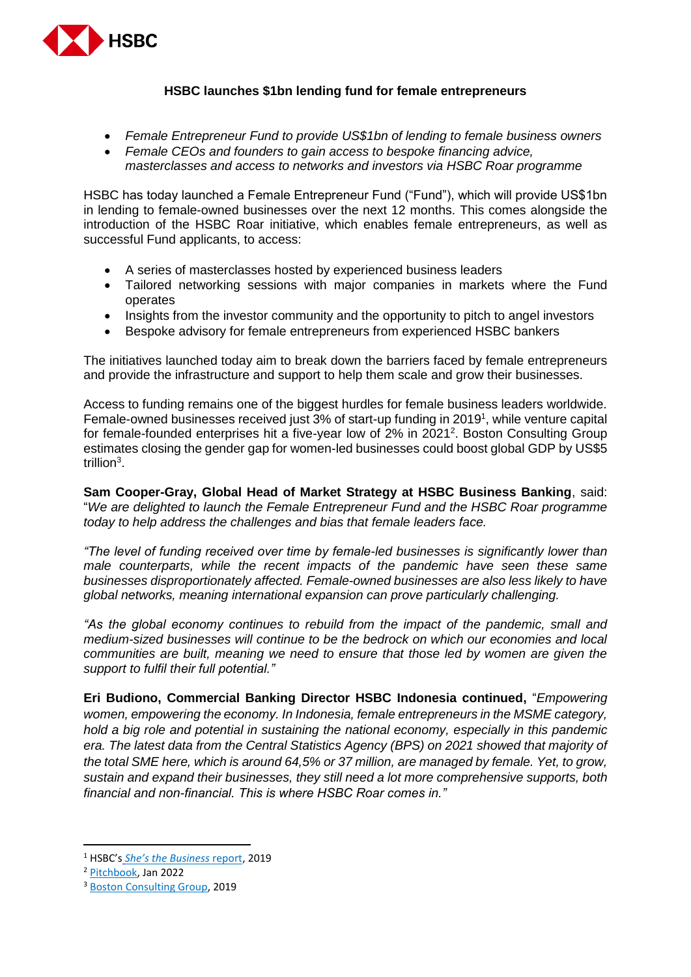

## **HSBC launches \$1bn lending fund for female entrepreneurs**

- *Female Entrepreneur Fund to provide US\$1bn of lending to female business owners*
- *Female CEOs and founders to gain access to bespoke financing advice, masterclasses and access to networks and investors via HSBC Roar programme*

HSBC has today launched a Female Entrepreneur Fund ("Fund"), which will provide US\$1bn in lending to female-owned businesses over the next 12 months. This comes alongside the introduction of the HSBC Roar initiative, which enables female entrepreneurs, as well as successful Fund applicants, to access:

- A series of masterclasses hosted by experienced business leaders
- Tailored networking sessions with major companies in markets where the Fund operates
- Insights from the investor community and the opportunity to pitch to angel investors
- Bespoke advisory for female entrepreneurs from experienced HSBC bankers

The initiatives launched today aim to break down the barriers faced by female entrepreneurs and provide the infrastructure and support to help them scale and grow their businesses.

Access to funding remains one of the biggest hurdles for female business leaders worldwide. Female-owned businesses received just 3% of start-up funding in 2019<sup>1</sup>, while venture capital for female-founded enterprises hit a five-year low of 2% in 2021<sup>2</sup>. Boston Consulting Group estimates closing the gender gap for women-led businesses could boost global GDP by US\$5 trillion<sup>3</sup>.

**Sam Cooper-Gray, Global Head of Market Strategy at HSBC Business Banking**, said: "*We are delighted to launch the Female Entrepreneur Fund and the HSBC Roar programme today to help address the challenges and bias that female leaders face.* 

*"The level of funding received over time by female-led businesses is significantly lower than male counterparts, while the recent impacts of the pandemic have seen these same businesses disproportionately affected. Female-owned businesses are also less likely to have global networks, meaning international expansion can prove particularly challenging.*

*"As the global economy continues to rebuild from the impact of the pandemic, small and medium-sized businesses will continue to be the bedrock on which our economies and local communities are built, meaning we need to ensure that those led by women are given the support to fulfil their full potential."*

**Eri Budiono, Commercial Banking Director HSBC Indonesia continued,** "*Empowering women, empowering the economy. In Indonesia, female entrepreneurs in the MSME category, hold a big role and potential in sustaining the national economy, especially in this pandemic era. The latest data from the Central Statistics Agency (BPS) on 2021 showed that majority of the total SME here, which is around 64,5% or 37 million, are managed by female. Yet, to grow, sustain and expand their businesses, they still need a lot more comprehensive supports, both financial and non-financial. This is where HSBC Roar comes in."*

**.** 

<sup>1</sup> HSBC's *[She's the Business](https://www.privatebanking.hsbc.com/content/dam/privatebanking/gpb/discover/women-and-wealth/allbright/2019/AllBright%20partnership%20-%20September%202019%20-%20Shes%20the%20business%20report.pdf)* report, 2019

<sup>2</sup> [Pitchbook,](https://pitchbook.com/news/articles/female-founders-dashboard-2021-vc-funding-wrap-up) Jan 2022

<sup>&</sup>lt;sup>3</sup> [Boston Consulting Group,](https://www.bcg.com/publications/2019/boost-global-economy-5-trillion-dollar-support-women-entrepreneurs) 2019